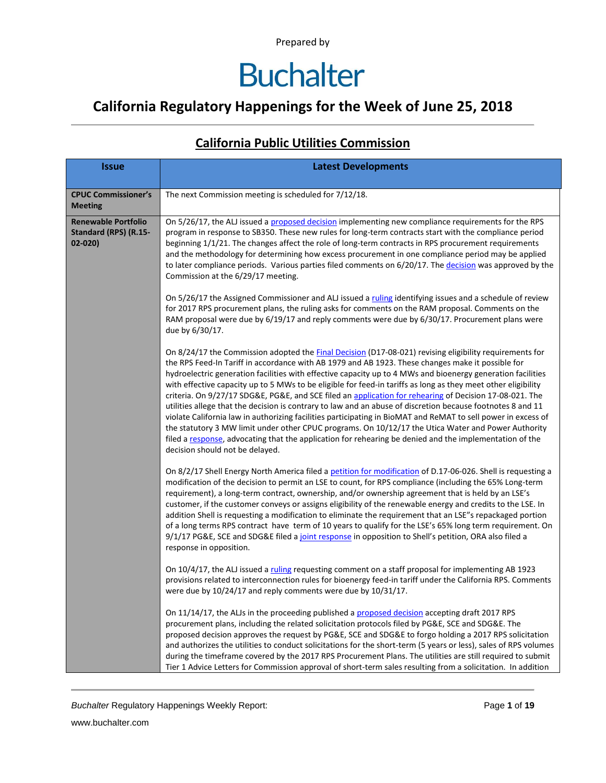### **California Regulatory Happenings for the Week of June 25, 2018**

| <i><b>Issue</b></i>                                               | <b>Latest Developments</b>                                                                                                                                                                                                                                                                                                                                                                                                                                                                                                                                                                                                                                                                                                                                                                                                                                                                                                                                                                                                                   |
|-------------------------------------------------------------------|----------------------------------------------------------------------------------------------------------------------------------------------------------------------------------------------------------------------------------------------------------------------------------------------------------------------------------------------------------------------------------------------------------------------------------------------------------------------------------------------------------------------------------------------------------------------------------------------------------------------------------------------------------------------------------------------------------------------------------------------------------------------------------------------------------------------------------------------------------------------------------------------------------------------------------------------------------------------------------------------------------------------------------------------|
| <b>CPUC Commissioner's</b><br><b>Meeting</b>                      | The next Commission meeting is scheduled for 7/12/18.                                                                                                                                                                                                                                                                                                                                                                                                                                                                                                                                                                                                                                                                                                                                                                                                                                                                                                                                                                                        |
| <b>Renewable Portfolio</b><br>Standard (RPS) (R.15-<br>$02 - 020$ | On 5/26/17, the ALJ issued a proposed decision implementing new compliance requirements for the RPS<br>program in response to SB350. These new rules for long-term contracts start with the compliance period<br>beginning 1/1/21. The changes affect the role of long-term contracts in RPS procurement requirements<br>and the methodology for determining how excess procurement in one compliance period may be applied<br>to later compliance periods. Various parties filed comments on 6/20/17. The decision was approved by the<br>Commission at the 6/29/17 meeting.                                                                                                                                                                                                                                                                                                                                                                                                                                                                |
|                                                                   | On 5/26/17 the Assigned Commissioner and ALJ issued a ruling identifying issues and a schedule of review<br>for 2017 RPS procurement plans, the ruling asks for comments on the RAM proposal. Comments on the<br>RAM proposal were due by 6/19/17 and reply comments were due by 6/30/17. Procurement plans were<br>due by 6/30/17.                                                                                                                                                                                                                                                                                                                                                                                                                                                                                                                                                                                                                                                                                                          |
|                                                                   | On 8/24/17 the Commission adopted the Final Decision (D17-08-021) revising eligibility requirements for<br>the RPS Feed-In Tariff in accordance with AB 1979 and AB 1923. These changes make it possible for<br>hydroelectric generation facilities with effective capacity up to 4 MWs and bioenergy generation facilities<br>with effective capacity up to 5 MWs to be eligible for feed-in tariffs as long as they meet other eligibility<br>criteria. On 9/27/17 SDG&E, PG&E, and SCE filed an application for rehearing of Decision 17-08-021. The<br>utilities allege that the decision is contrary to law and an abuse of discretion because footnotes 8 and 11<br>violate California law in authorizing facilities participating in BioMAT and ReMAT to sell power in excess of<br>the statutory 3 MW limit under other CPUC programs. On 10/12/17 the Utica Water and Power Authority<br>filed a response, advocating that the application for rehearing be denied and the implementation of the<br>decision should not be delayed. |
|                                                                   | On 8/2/17 Shell Energy North America filed a petition for modification of D.17-06-026. Shell is requesting a<br>modification of the decision to permit an LSE to count, for RPS compliance (including the 65% Long-term<br>requirement), a long-term contract, ownership, and/or ownership agreement that is held by an LSE's<br>customer, if the customer conveys or assigns eligibility of the renewable energy and credits to the LSE. In<br>addition Shell is requesting a modification to eliminate the requirement that an LSE"s repackaged portion<br>of a long terms RPS contract have term of 10 years to qualify for the LSE's 65% long term requirement. On<br>9/1/17 PG&E, SCE and SDG&E filed a joint response in opposition to Shell's petition, ORA also filed a<br>response in opposition.                                                                                                                                                                                                                                   |
|                                                                   | On 10/4/17, the ALJ issued a ruling requesting comment on a staff proposal for implementing AB 1923<br>provisions related to interconnection rules for bioenergy feed-in tariff under the California RPS. Comments<br>were due by 10/24/17 and reply comments were due by 10/31/17.                                                                                                                                                                                                                                                                                                                                                                                                                                                                                                                                                                                                                                                                                                                                                          |
|                                                                   | On 11/14/17, the ALJs in the proceeding published a proposed decision accepting draft 2017 RPS<br>procurement plans, including the related solicitation protocols filed by PG&E, SCE and SDG&E. The<br>proposed decision approves the request by PG&E, SCE and SDG&E to forgo holding a 2017 RPS solicitation<br>and authorizes the utilities to conduct solicitations for the short-term (5 years or less), sales of RPS volumes<br>during the timeframe covered by the 2017 RPS Procurement Plans. The utilities are still required to submit<br>Tier 1 Advice Letters for Commission approval of short-term sales resulting from a solicitation. In addition                                                                                                                                                                                                                                                                                                                                                                              |

#### **California Public Utilities Commission**

**Buchalter Regulatory Happenings Weekly Report:** Page 1 of 19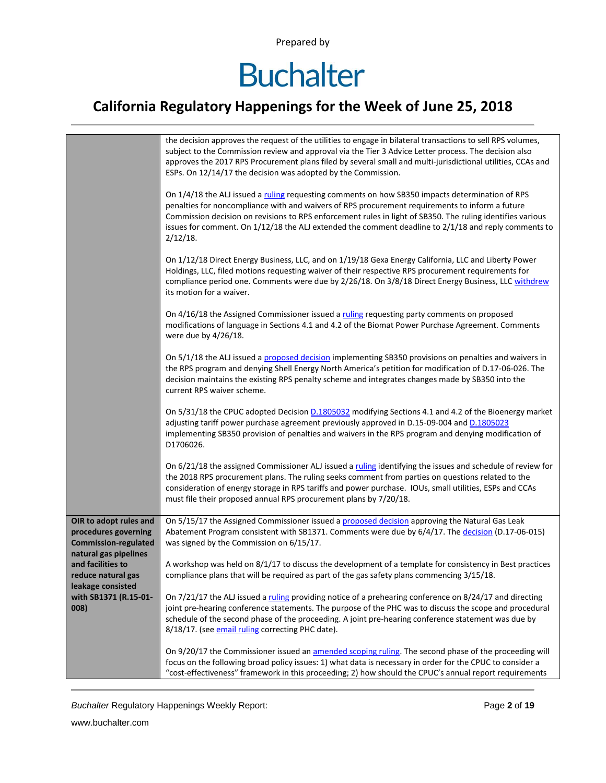## **Buchalter**

### **California Regulatory Happenings for the Week of June 25, 2018**

|                                                                              | the decision approves the request of the utilities to engage in bilateral transactions to sell RPS volumes,<br>subject to the Commission review and approval via the Tier 3 Advice Letter process. The decision also<br>approves the 2017 RPS Procurement plans filed by several small and multi-jurisdictional utilities, CCAs and<br>ESPs. On 12/14/17 the decision was adopted by the Commission.                                    |
|------------------------------------------------------------------------------|-----------------------------------------------------------------------------------------------------------------------------------------------------------------------------------------------------------------------------------------------------------------------------------------------------------------------------------------------------------------------------------------------------------------------------------------|
|                                                                              | On 1/4/18 the ALJ issued a ruling requesting comments on how SB350 impacts determination of RPS<br>penalties for noncompliance with and waivers of RPS procurement requirements to inform a future<br>Commission decision on revisions to RPS enforcement rules in light of SB350. The ruling identifies various<br>issues for comment. On 1/12/18 the ALJ extended the comment deadline to 2/1/18 and reply comments to<br>$2/12/18$ . |
|                                                                              | On 1/12/18 Direct Energy Business, LLC, and on 1/19/18 Gexa Energy California, LLC and Liberty Power<br>Holdings, LLC, filed motions requesting waiver of their respective RPS procurement requirements for<br>compliance period one. Comments were due by 2/26/18. On 3/8/18 Direct Energy Business, LLC withdrew<br>its motion for a waiver.                                                                                          |
|                                                                              | On 4/16/18 the Assigned Commissioner issued a ruling requesting party comments on proposed<br>modifications of language in Sections 4.1 and 4.2 of the Biomat Power Purchase Agreement. Comments<br>were due by 4/26/18.                                                                                                                                                                                                                |
|                                                                              | On 5/1/18 the ALJ issued a proposed decision implementing SB350 provisions on penalties and waivers in<br>the RPS program and denying Shell Energy North America's petition for modification of D.17-06-026. The<br>decision maintains the existing RPS penalty scheme and integrates changes made by SB350 into the<br>current RPS waiver scheme.                                                                                      |
|                                                                              | On 5/31/18 the CPUC adopted Decision D.1805032 modifying Sections 4.1 and 4.2 of the Bioenergy market<br>adjusting tariff power purchase agreement previously approved in D.15-09-004 and D.1805023<br>implementing SB350 provision of penalties and waivers in the RPS program and denying modification of<br>D1706026.                                                                                                                |
|                                                                              | On 6/21/18 the assigned Commissioner ALJ issued a ruling identifying the issues and schedule of review for<br>the 2018 RPS procurement plans. The ruling seeks comment from parties on questions related to the<br>consideration of energy storage in RPS tariffs and power purchase. IOUs, small utilities, ESPs and CCAs<br>must file their proposed annual RPS procurement plans by 7/20/18.                                         |
| OIR to adopt rules and                                                       | On 5/15/17 the Assigned Commissioner issued a proposed decision approving the Natural Gas Leak                                                                                                                                                                                                                                                                                                                                          |
| procedures governing<br><b>Commission-regulated</b><br>natural gas pipelines | Abatement Program consistent with SB1371. Comments were due by 6/4/17. The decision (D.17-06-015)<br>was signed by the Commission on 6/15/17.                                                                                                                                                                                                                                                                                           |
| and facilities to                                                            | A workshop was held on 8/1/17 to discuss the development of a template for consistency in Best practices                                                                                                                                                                                                                                                                                                                                |
| reduce natural gas<br>leakage consisted                                      | compliance plans that will be required as part of the gas safety plans commencing 3/15/18.                                                                                                                                                                                                                                                                                                                                              |
| with SB1371 (R.15-01-<br>008)                                                | On 7/21/17 the ALJ issued a ruling providing notice of a prehearing conference on 8/24/17 and directing<br>joint pre-hearing conference statements. The purpose of the PHC was to discuss the scope and procedural<br>schedule of the second phase of the proceeding. A joint pre-hearing conference statement was due by<br>8/18/17. (see email ruling correcting PHC date).                                                           |
|                                                                              | On 9/20/17 the Commissioner issued an amended scoping ruling. The second phase of the proceeding will<br>focus on the following broad policy issues: 1) what data is necessary in order for the CPUC to consider a<br>"cost-effectiveness" framework in this proceeding; 2) how should the CPUC's annual report requirements                                                                                                            |

**Buchalter Regulatory Happenings Weekly Report:** Page 2 of 19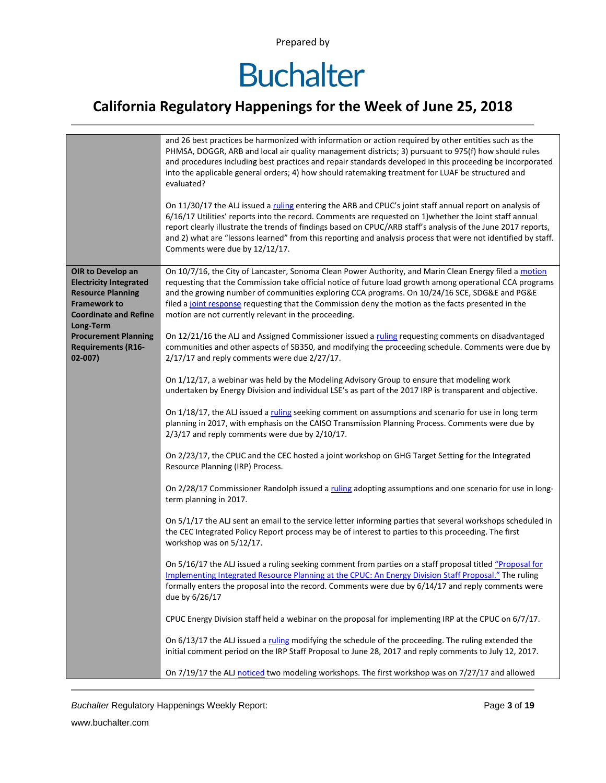## **Buchalter**

### **California Regulatory Happenings for the Week of June 25, 2018**

|                                                                                                                                                                                                                             | and 26 best practices be harmonized with information or action required by other entities such as the<br>PHMSA, DOGGR, ARB and local air quality management districts; 3) pursuant to 975(f) how should rules<br>and procedures including best practices and repair standards developed in this proceeding be incorporated<br>into the applicable general orders; 4) how should ratemaking treatment for LUAF be structured and<br>evaluated?<br>On 11/30/17 the ALJ issued a ruling entering the ARB and CPUC's joint staff annual report on analysis of<br>6/16/17 Utilities' reports into the record. Comments are requested on 1) whether the Joint staff annual<br>report clearly illustrate the trends of findings based on CPUC/ARB staff's analysis of the June 2017 reports,<br>and 2) what are "lessons learned" from this reporting and analysis process that were not identified by staff.<br>Comments were due by 12/12/17.                                                                                                                                                                                                                                                                                                                                                                                                                                                                                                                                                                                                                                                                                                                                                                                                                                               |
|-----------------------------------------------------------------------------------------------------------------------------------------------------------------------------------------------------------------------------|----------------------------------------------------------------------------------------------------------------------------------------------------------------------------------------------------------------------------------------------------------------------------------------------------------------------------------------------------------------------------------------------------------------------------------------------------------------------------------------------------------------------------------------------------------------------------------------------------------------------------------------------------------------------------------------------------------------------------------------------------------------------------------------------------------------------------------------------------------------------------------------------------------------------------------------------------------------------------------------------------------------------------------------------------------------------------------------------------------------------------------------------------------------------------------------------------------------------------------------------------------------------------------------------------------------------------------------------------------------------------------------------------------------------------------------------------------------------------------------------------------------------------------------------------------------------------------------------------------------------------------------------------------------------------------------------------------------------------------------------------------------------------------------|
| OIR to Develop an<br><b>Electricity Integrated</b><br><b>Resource Planning</b><br><b>Framework to</b><br><b>Coordinate and Refine</b><br>Long-Term<br><b>Procurement Planning</b><br><b>Requirements (R16-</b><br>$02-007)$ | On 10/7/16, the City of Lancaster, Sonoma Clean Power Authority, and Marin Clean Energy filed a motion<br>requesting that the Commission take official notice of future load growth among operational CCA programs<br>and the growing number of communities exploring CCA programs. On 10/24/16 SCE, SDG&E and PG&E<br>filed a joint response requesting that the Commission deny the motion as the facts presented in the<br>motion are not currently relevant in the proceeding.<br>On 12/21/16 the ALJ and Assigned Commissioner issued a ruling requesting comments on disadvantaged<br>communities and other aspects of SB350, and modifying the proceeding schedule. Comments were due by<br>2/17/17 and reply comments were due 2/27/17.                                                                                                                                                                                                                                                                                                                                                                                                                                                                                                                                                                                                                                                                                                                                                                                                                                                                                                                                                                                                                                        |
|                                                                                                                                                                                                                             | On 1/12/17, a webinar was held by the Modeling Advisory Group to ensure that modeling work<br>undertaken by Energy Division and individual LSE's as part of the 2017 IRP is transparent and objective.<br>On 1/18/17, the ALJ issued a ruling seeking comment on assumptions and scenario for use in long term<br>planning in 2017, with emphasis on the CAISO Transmission Planning Process. Comments were due by<br>$2/3/17$ and reply comments were due by $2/10/17$ .<br>On 2/23/17, the CPUC and the CEC hosted a joint workshop on GHG Target Setting for the Integrated<br>Resource Planning (IRP) Process.<br>On 2/28/17 Commissioner Randolph issued a ruling adopting assumptions and one scenario for use in long-<br>term planning in 2017.<br>On 5/1/17 the ALJ sent an email to the service letter informing parties that several workshops scheduled in<br>the CEC Integrated Policy Report process may be of interest to parties to this proceeding. The first<br>workshop was on 5/12/17.<br>On 5/16/17 the ALJ issued a ruling seeking comment from parties on a staff proposal titled "Proposal for<br>Implementing Integrated Resource Planning at the CPUC: An Energy Division Staff Proposal." The ruling<br>formally enters the proposal into the record. Comments were due by 6/14/17 and reply comments were<br>due by 6/26/17<br>CPUC Energy Division staff held a webinar on the proposal for implementing IRP at the CPUC on 6/7/17.<br>On 6/13/17 the ALJ issued a ruling modifying the schedule of the proceeding. The ruling extended the<br>initial comment period on the IRP Staff Proposal to June 28, 2017 and reply comments to July 12, 2017.<br>On 7/19/17 the ALJ noticed two modeling workshops. The first workshop was on 7/27/17 and allowed |

**Buchalter Regulatory Happenings Weekly Report:** Page 3 of 19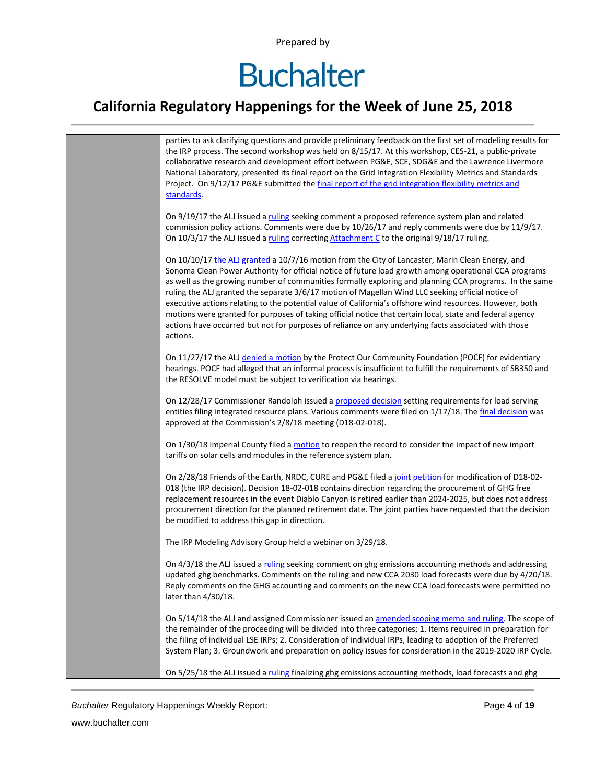## **Buchalter**

### **California Regulatory Happenings for the Week of June 25, 2018**



*Buchalter* Regulatory Happenings Weekly Report: Page **4** of **19**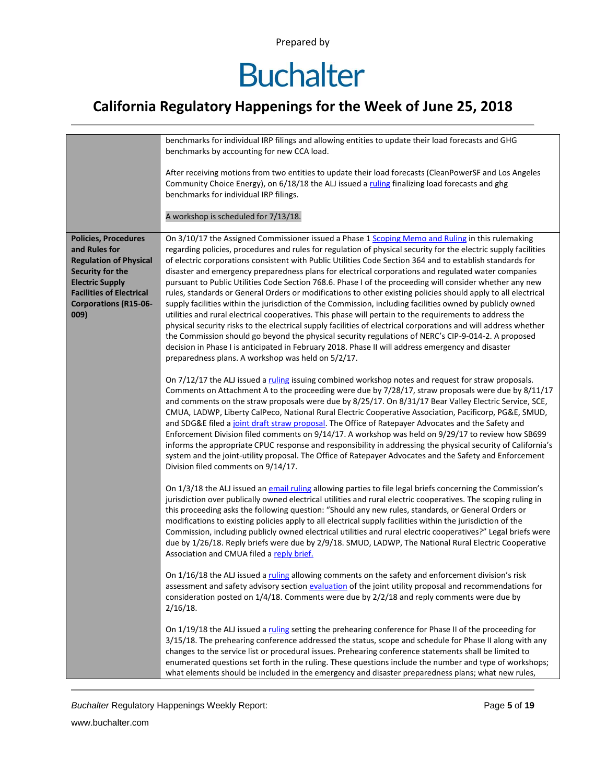# **Buchalter**

### **California Regulatory Happenings for the Week of June 25, 2018**

|                                                                                                                                                                                                        | benchmarks for individual IRP filings and allowing entities to update their load forecasts and GHG<br>benchmarks by accounting for new CCA load.                                                                                                                                                                                                                                                                                                                                                                                                                                                                                                                                                                                                                                                                                                                                                                                                                                                                                                                                                                                                                                                                            |
|--------------------------------------------------------------------------------------------------------------------------------------------------------------------------------------------------------|-----------------------------------------------------------------------------------------------------------------------------------------------------------------------------------------------------------------------------------------------------------------------------------------------------------------------------------------------------------------------------------------------------------------------------------------------------------------------------------------------------------------------------------------------------------------------------------------------------------------------------------------------------------------------------------------------------------------------------------------------------------------------------------------------------------------------------------------------------------------------------------------------------------------------------------------------------------------------------------------------------------------------------------------------------------------------------------------------------------------------------------------------------------------------------------------------------------------------------|
|                                                                                                                                                                                                        | After receiving motions from two entities to update their load forecasts (CleanPowerSF and Los Angeles<br>Community Choice Energy), on 6/18/18 the ALJ issued a ruling finalizing load forecasts and ghg<br>benchmarks for individual IRP filings.                                                                                                                                                                                                                                                                                                                                                                                                                                                                                                                                                                                                                                                                                                                                                                                                                                                                                                                                                                          |
|                                                                                                                                                                                                        | A workshop is scheduled for 7/13/18.                                                                                                                                                                                                                                                                                                                                                                                                                                                                                                                                                                                                                                                                                                                                                                                                                                                                                                                                                                                                                                                                                                                                                                                        |
| <b>Policies, Procedures</b><br>and Rules for<br><b>Regulation of Physical</b><br>Security for the<br><b>Electric Supply</b><br><b>Facilities of Electrical</b><br><b>Corporations (R15-06-</b><br>009) | On 3/10/17 the Assigned Commissioner issued a Phase 1 Scoping Memo and Ruling in this rulemaking<br>regarding policies, procedures and rules for regulation of physical security for the electric supply facilities<br>of electric corporations consistent with Public Utilities Code Section 364 and to establish standards for<br>disaster and emergency preparedness plans for electrical corporations and regulated water companies<br>pursuant to Public Utilities Code Section 768.6. Phase I of the proceeding will consider whether any new<br>rules, standards or General Orders or modifications to other existing policies should apply to all electrical<br>supply facilities within the jurisdiction of the Commission, including facilities owned by publicly owned<br>utilities and rural electrical cooperatives. This phase will pertain to the requirements to address the<br>physical security risks to the electrical supply facilities of electrical corporations and will address whether<br>the Commission should go beyond the physical security regulations of NERC's CIP-9-014-2. A proposed<br>decision in Phase I is anticipated in February 2018. Phase II will address emergency and disaster |
|                                                                                                                                                                                                        | preparedness plans. A workshop was held on 5/2/17.<br>On 7/12/17 the ALJ issued a ruling issuing combined workshop notes and request for straw proposals.<br>Comments on Attachment A to the proceeding were due by 7/28/17, straw proposals were due by 8/11/17<br>and comments on the straw proposals were due by 8/25/17. On 8/31/17 Bear Valley Electric Service, SCE,<br>CMUA, LADWP, Liberty CalPeco, National Rural Electric Cooperative Association, Pacificorp, PG&E, SMUD,<br>and SDG&E filed a joint draft straw proposal. The Office of Ratepayer Advocates and the Safety and<br>Enforcement Division filed comments on 9/14/17. A workshop was held on 9/29/17 to review how SB699<br>informs the appropriate CPUC response and responsibility in addressing the physical security of California's<br>system and the joint-utility proposal. The Office of Ratepayer Advocates and the Safety and Enforcement<br>Division filed comments on 9/14/17.                                                                                                                                                                                                                                                          |
|                                                                                                                                                                                                        | On 1/3/18 the ALJ issued an email ruling allowing parties to file legal briefs concerning the Commission's<br>jurisdiction over publically owned electrical utilities and rural electric cooperatives. The scoping ruling in<br>this proceeding asks the following question: "Should any new rules, standards, or General Orders or<br>modifications to existing policies apply to all electrical supply facilities within the jurisdiction of the<br>Commission, including publicly owned electrical utilities and rural electric cooperatives?" Legal briefs were<br>due by 1/26/18. Reply briefs were due by 2/9/18. SMUD, LADWP, The National Rural Electric Cooperative<br>Association and CMUA filed a reply brief.                                                                                                                                                                                                                                                                                                                                                                                                                                                                                                   |
|                                                                                                                                                                                                        | On 1/16/18 the ALJ issued a ruling allowing comments on the safety and enforcement division's risk<br>assessment and safety advisory section evaluation of the joint utility proposal and recommendations for<br>consideration posted on 1/4/18. Comments were due by 2/2/18 and reply comments were due by<br>$2/16/18$ .                                                                                                                                                                                                                                                                                                                                                                                                                                                                                                                                                                                                                                                                                                                                                                                                                                                                                                  |
|                                                                                                                                                                                                        | On 1/19/18 the ALJ issued a ruling setting the prehearing conference for Phase II of the proceeding for<br>3/15/18. The prehearing conference addressed the status, scope and schedule for Phase II along with any<br>changes to the service list or procedural issues. Prehearing conference statements shall be limited to<br>enumerated questions set forth in the ruling. These questions include the number and type of workshops;<br>what elements should be included in the emergency and disaster preparedness plans; what new rules,                                                                                                                                                                                                                                                                                                                                                                                                                                                                                                                                                                                                                                                                               |

**Buchalter Regulatory Happenings Weekly Report:** Page 5 of 19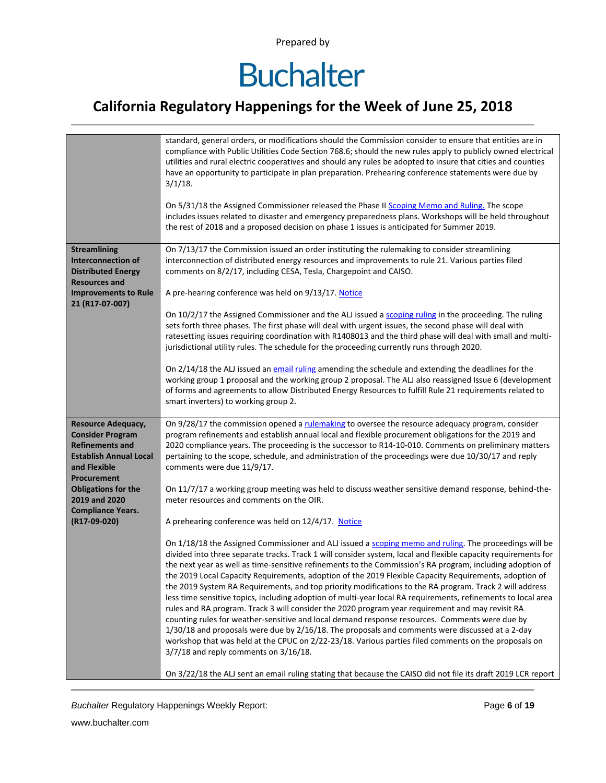## **Buchalter**

### **California Regulatory Happenings for the Week of June 25, 2018**

| have an opportunity to participate in plan preparation. Prehearing conference statements were due by<br>$3/1/18$ .<br>On 5/31/18 the Assigned Commissioner released the Phase II Scoping Memo and Ruling. The scope<br>includes issues related to disaster and emergency preparedness plans. Workshops will be held throughout<br>the rest of 2018 and a proposed decision on phase 1 issues is anticipated for Summer 2019.                                                                                                                                                                                                                                                                                                                                                                                                                                                      |  |
|-----------------------------------------------------------------------------------------------------------------------------------------------------------------------------------------------------------------------------------------------------------------------------------------------------------------------------------------------------------------------------------------------------------------------------------------------------------------------------------------------------------------------------------------------------------------------------------------------------------------------------------------------------------------------------------------------------------------------------------------------------------------------------------------------------------------------------------------------------------------------------------|--|
| On 7/13/17 the Commission issued an order instituting the rulemaking to consider streamlining<br><b>Streamlining</b><br>interconnection of distributed energy resources and improvements to rule 21. Various parties filed<br><b>Interconnection of</b><br><b>Distributed Energy</b><br>comments on 8/2/17, including CESA, Tesla, Chargepoint and CAISO.<br><b>Resources and</b><br>A pre-hearing conference was held on 9/13/17. Notice<br><b>Improvements to Rule</b><br>21 (R17-07-007)                                                                                                                                                                                                                                                                                                                                                                                       |  |
| On 10/2/17 the Assigned Commissioner and the ALJ issued a scoping ruling in the proceeding. The ruling<br>sets forth three phases. The first phase will deal with urgent issues, the second phase will deal with<br>ratesetting issues requiring coordination with R1408013 and the third phase will deal with small and multi-<br>jurisdictional utility rules. The schedule for the proceeding currently runs through 2020.                                                                                                                                                                                                                                                                                                                                                                                                                                                     |  |
| On 2/14/18 the ALJ issued an email ruling amending the schedule and extending the deadlines for the<br>working group 1 proposal and the working group 2 proposal. The ALJ also reassigned Issue 6 (development<br>of forms and agreements to allow Distributed Energy Resources to fulfill Rule 21 requirements related to<br>smart inverters) to working group 2.                                                                                                                                                                                                                                                                                                                                                                                                                                                                                                                |  |
| On 9/28/17 the commission opened a rulemaking to oversee the resource adequacy program, consider<br><b>Resource Adequacy,</b><br>program refinements and establish annual local and flexible procurement obligations for the 2019 and<br><b>Consider Program</b><br><b>Refinements and</b><br>2020 compliance years. The proceeding is the successor to R14-10-010. Comments on preliminary matters<br>pertaining to the scope, schedule, and administration of the proceedings were due 10/30/17 and reply<br><b>Establish Annual Local</b><br>comments were due 11/9/17.<br>and Flexible<br>Procurement                                                                                                                                                                                                                                                                         |  |
| <b>Obligations for the</b><br>On 11/7/17 a working group meeting was held to discuss weather sensitive demand response, behind-the-<br>2019 and 2020<br>meter resources and comments on the OIR.<br><b>Compliance Years.</b>                                                                                                                                                                                                                                                                                                                                                                                                                                                                                                                                                                                                                                                      |  |
| A prehearing conference was held on 12/4/17. Notice<br>(R17-09-020)                                                                                                                                                                                                                                                                                                                                                                                                                                                                                                                                                                                                                                                                                                                                                                                                               |  |
| On 1/18/18 the Assigned Commissioner and ALJ issued a scoping memo and ruling. The proceedings will be<br>divided into three separate tracks. Track 1 will consider system, local and flexible capacity requirements for<br>the next year as well as time-sensitive refinements to the Commission's RA program, including adoption of<br>the 2019 Local Capacity Requirements, adoption of the 2019 Flexible Capacity Requirements, adoption of<br>the 2019 System RA Requirements, and top priority modifications to the RA program. Track 2 will address<br>less time sensitive topics, including adoption of multi-year local RA requirements, refinements to local area<br>rules and RA program. Track 3 will consider the 2020 program year requirement and may revisit RA<br>counting rules for weather-sensitive and local demand response resources. Comments were due by |  |
| 1/30/18 and proposals were due by 2/16/18. The proposals and comments were discussed at a 2-day<br>workshop that was held at the CPUC on 2/22-23/18. Various parties filed comments on the proposals on<br>3/7/18 and reply comments on 3/16/18.<br>On 3/22/18 the ALJ sent an email ruling stating that because the CAISO did not file its draft 2019 LCR report                                                                                                                                                                                                                                                                                                                                                                                                                                                                                                                 |  |

**Buchalter Regulatory Happenings Weekly Report:** Page 6 of 19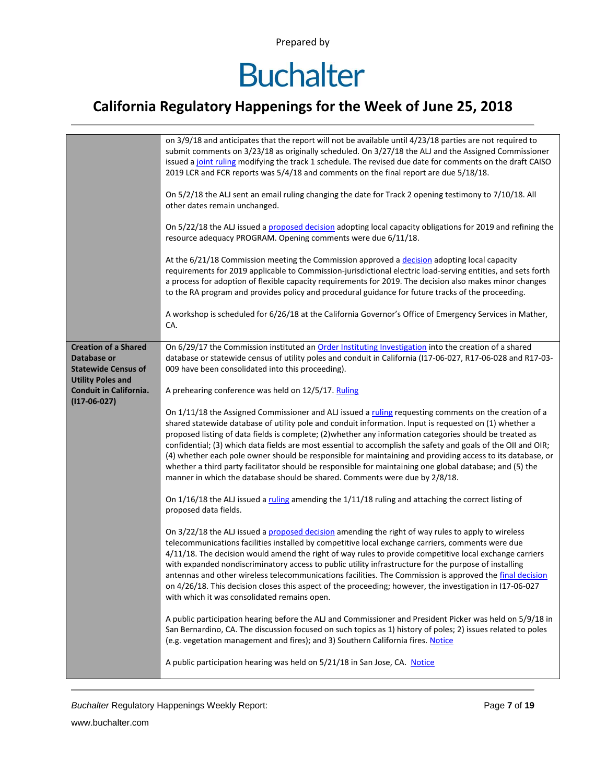# **Buchalter**

### **California Regulatory Happenings for the Week of June 25, 2018**

|                               | on 3/9/18 and anticipates that the report will not be available until 4/23/18 parties are not required to     |
|-------------------------------|---------------------------------------------------------------------------------------------------------------|
|                               | submit comments on 3/23/18 as originally scheduled. On 3/27/18 the ALJ and the Assigned Commissioner          |
|                               | issued a joint ruling modifying the track 1 schedule. The revised due date for comments on the draft CAISO    |
|                               | 2019 LCR and FCR reports was 5/4/18 and comments on the final report are due 5/18/18.                         |
|                               |                                                                                                               |
|                               | On 5/2/18 the ALJ sent an email ruling changing the date for Track 2 opening testimony to 7/10/18. All        |
|                               | other dates remain unchanged.                                                                                 |
|                               |                                                                                                               |
|                               | On 5/22/18 the ALJ issued a proposed decision adopting local capacity obligations for 2019 and refining the   |
|                               | resource adequacy PROGRAM. Opening comments were due 6/11/18.                                                 |
|                               |                                                                                                               |
|                               | At the 6/21/18 Commission meeting the Commission approved a decision adopting local capacity                  |
|                               | requirements for 2019 applicable to Commission-jurisdictional electric load-serving entities, and sets forth  |
|                               | a process for adoption of flexible capacity requirements for 2019. The decision also makes minor changes      |
|                               | to the RA program and provides policy and procedural guidance for future tracks of the proceeding.            |
|                               |                                                                                                               |
|                               |                                                                                                               |
|                               | A workshop is scheduled for 6/26/18 at the California Governor's Office of Emergency Services in Mather,      |
|                               | CA.                                                                                                           |
|                               |                                                                                                               |
| <b>Creation of a Shared</b>   | On 6/29/17 the Commission instituted an Order Instituting Investigation into the creation of a shared         |
| Database or                   | database or statewide census of utility poles and conduit in California (I17-06-027, R17-06-028 and R17-03-   |
| <b>Statewide Census of</b>    | 009 have been consolidated into this proceeding).                                                             |
| <b>Utility Poles and</b>      |                                                                                                               |
| <b>Conduit in California.</b> | A prehearing conference was held on 12/5/17. Ruling                                                           |
| $(117-06-027)$                |                                                                                                               |
|                               | On 1/11/18 the Assigned Commissioner and ALJ issued a ruling requesting comments on the creation of a         |
|                               | shared statewide database of utility pole and conduit information. Input is requested on (1) whether a        |
|                               | proposed listing of data fields is complete; (2) whether any information categories should be treated as      |
|                               | confidential; (3) which data fields are most essential to accomplish the safety and goals of the OII and OIR; |
|                               | (4) whether each pole owner should be responsible for maintaining and providing access to its database, or    |
|                               | whether a third party facilitator should be responsible for maintaining one global database; and (5) the      |
|                               | manner in which the database should be shared. Comments were due by 2/8/18.                                   |
|                               |                                                                                                               |
|                               |                                                                                                               |
|                               | On $1/16/18$ the ALJ issued a ruling amending the $1/11/18$ ruling and attaching the correct listing of       |
|                               | proposed data fields.                                                                                         |
|                               |                                                                                                               |
|                               | On 3/22/18 the ALJ issued a proposed decision amending the right of way rules to apply to wireless            |
|                               | telecommunications facilities installed by competitive local exchange carriers, comments were due             |
|                               | 4/11/18. The decision would amend the right of way rules to provide competitive local exchange carriers       |
|                               | with expanded nondiscriminatory access to public utility infrastructure for the purpose of installing         |
|                               | antennas and other wireless telecommunications facilities. The Commission is approved the final decision      |
|                               | on 4/26/18. This decision closes this aspect of the proceeding; however, the investigation in I17-06-027      |
|                               | with which it was consolidated remains open.                                                                  |
|                               |                                                                                                               |
|                               | A public participation hearing before the ALJ and Commissioner and President Picker was held on 5/9/18 in     |
|                               | San Bernardino, CA. The discussion focused on such topics as 1) history of poles; 2) issues related to poles  |
|                               | (e.g. vegetation management and fires); and 3) Southern California fires. Notice                              |
|                               |                                                                                                               |
|                               | A public participation hearing was held on 5/21/18 in San Jose, CA. Notice                                    |
|                               |                                                                                                               |
|                               |                                                                                                               |

**Buchalter Regulatory Happenings Weekly Report:** Page 7 of 19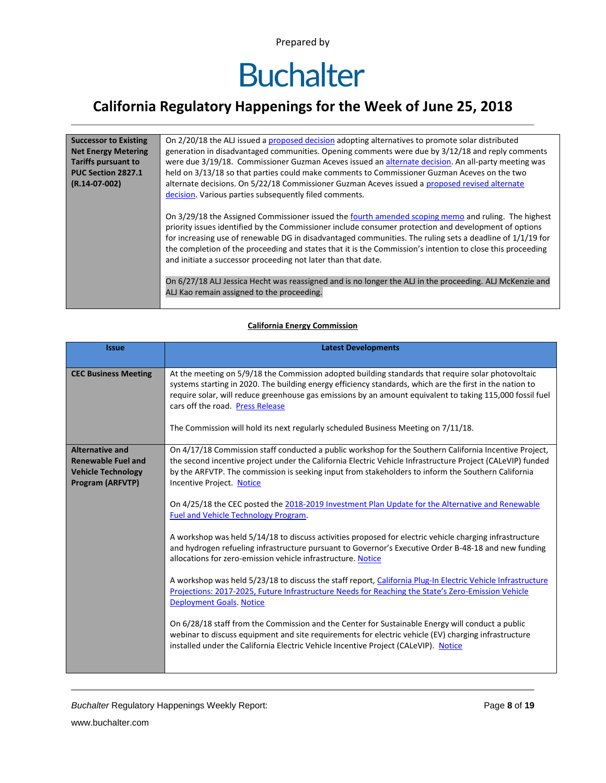### **California Regulatory Happenings for the Week of June 25, 2018**

| <b>Successor to Existing</b><br><b>Net Energy Metering</b><br><b>Tariffs pursuant to</b><br>PUC Section 2827.1<br>$(R.14-07-002)$ | On 2/20/18 the ALJ issued a proposed decision adopting alternatives to promote solar distributed<br>generation in disadvantaged communities. Opening comments were due by 3/12/18 and reply comments<br>were due 3/19/18. Commissioner Guzman Aceves issued an alternate decision. An all-party meeting was<br>held on 3/13/18 so that parties could make comments to Commissioner Guzman Aceves on the two<br>alternate decisions. On 5/22/18 Commissioner Guzman Aceves issued a proposed revised alternate<br>decision. Various parties subsequently filed comments.                                                                                            |
|-----------------------------------------------------------------------------------------------------------------------------------|--------------------------------------------------------------------------------------------------------------------------------------------------------------------------------------------------------------------------------------------------------------------------------------------------------------------------------------------------------------------------------------------------------------------------------------------------------------------------------------------------------------------------------------------------------------------------------------------------------------------------------------------------------------------|
|                                                                                                                                   | On 3/29/18 the Assigned Commissioner issued the fourth amended scoping memo and ruling. The highest<br>priority issues identified by the Commissioner include consumer protection and development of options<br>for increasing use of renewable DG in disadvantaged communities. The ruling sets a deadline of 1/1/19 for<br>the completion of the proceeding and states that it is the Commission's intention to close this proceeding<br>and initiate a successor proceeding not later than that date.<br>On 6/27/18 ALJ Jessica Hecht was reassigned and is no longer the ALJ in the proceeding. ALJ McKenzie and<br>ALJ Kao remain assigned to the proceeding. |

#### **California Energy Commission**

| <b>Issue</b>                                                                                                | <b>Latest Developments</b>                                                                                                                                                                                                                                                                                                                                                                                                                                                                                                                                                                                                                                                                                                                                                                                                                                                                                                                                                                                                                                                                                                                                                                                                                                                                                                                                      |
|-------------------------------------------------------------------------------------------------------------|-----------------------------------------------------------------------------------------------------------------------------------------------------------------------------------------------------------------------------------------------------------------------------------------------------------------------------------------------------------------------------------------------------------------------------------------------------------------------------------------------------------------------------------------------------------------------------------------------------------------------------------------------------------------------------------------------------------------------------------------------------------------------------------------------------------------------------------------------------------------------------------------------------------------------------------------------------------------------------------------------------------------------------------------------------------------------------------------------------------------------------------------------------------------------------------------------------------------------------------------------------------------------------------------------------------------------------------------------------------------|
| <b>CEC Business Meeting</b>                                                                                 | At the meeting on 5/9/18 the Commission adopted building standards that require solar photovoltaic<br>systems starting in 2020. The building energy efficiency standards, which are the first in the nation to<br>require solar, will reduce greenhouse gas emissions by an amount equivalent to taking 115,000 fossil fuel<br>cars off the road. Press Release<br>The Commission will hold its next regularly scheduled Business Meeting on 7/11/18.                                                                                                                                                                                                                                                                                                                                                                                                                                                                                                                                                                                                                                                                                                                                                                                                                                                                                                           |
|                                                                                                             |                                                                                                                                                                                                                                                                                                                                                                                                                                                                                                                                                                                                                                                                                                                                                                                                                                                                                                                                                                                                                                                                                                                                                                                                                                                                                                                                                                 |
| <b>Alternative and</b><br><b>Renewable Fuel and</b><br><b>Vehicle Technology</b><br><b>Program (ARFVTP)</b> | On 4/17/18 Commission staff conducted a public workshop for the Southern California Incentive Project,<br>the second incentive project under the California Electric Vehicle Infrastructure Project (CALeVIP) funded<br>by the ARFVTP. The commission is seeking input from stakeholders to inform the Southern California<br><b>Incentive Project. Notice</b><br>On 4/25/18 the CEC posted the 2018-2019 Investment Plan Update for the Alternative and Renewable<br><b>Fuel and Vehicle Technology Program.</b><br>A workshop was held 5/14/18 to discuss activities proposed for electric vehicle charging infrastructure<br>and hydrogen refueling infrastructure pursuant to Governor's Executive Order B-48-18 and new funding<br>allocations for zero-emission vehicle infrastructure. Notice<br>A workshop was held 5/23/18 to discuss the staff report, California Plug-In Electric Vehicle Infrastructure<br>Projections: 2017-2025, Future Infrastructure Needs for Reaching the State's Zero-Emission Vehicle<br><b>Deployment Goals. Notice</b><br>On 6/28/18 staff from the Commission and the Center for Sustainable Energy will conduct a public<br>webinar to discuss equipment and site requirements for electric vehicle (EV) charging infrastructure<br>installed under the California Electric Vehicle Incentive Project (CALeVIP). Notice |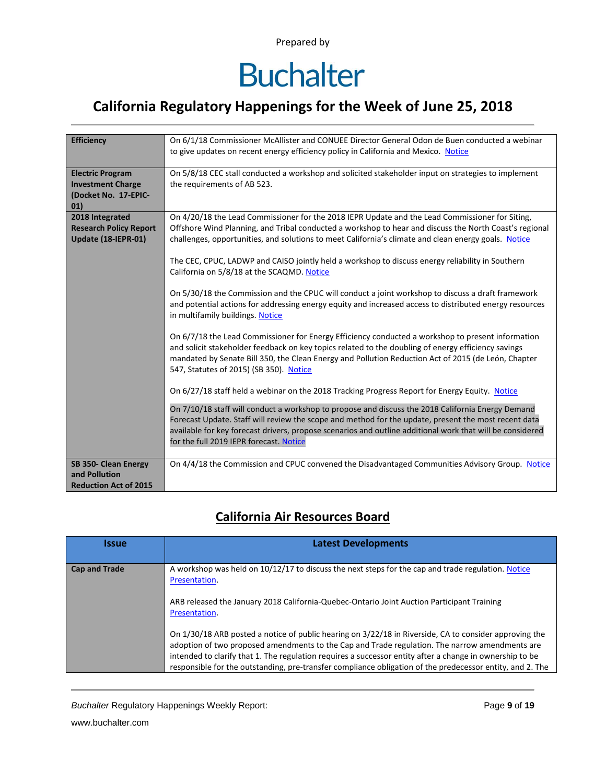### **California Regulatory Happenings for the Week of June 25, 2018**

| <b>Efficiency</b>             | On 6/1/18 Commissioner McAllister and CONUEE Director General Odon de Buen conducted a webinar<br>to give updates on recent energy efficiency policy in California and Mexico. Notice |
|-------------------------------|---------------------------------------------------------------------------------------------------------------------------------------------------------------------------------------|
|                               |                                                                                                                                                                                       |
| <b>Electric Program</b>       | On 5/8/18 CEC stall conducted a workshop and solicited stakeholder input on strategies to implement                                                                                   |
| <b>Investment Charge</b>      | the requirements of AB 523.                                                                                                                                                           |
| (Docket No. 17-EPIC-          |                                                                                                                                                                                       |
| 01)<br>2018 Integrated        | On 4/20/18 the Lead Commissioner for the 2018 IEPR Update and the Lead Commissioner for Siting,                                                                                       |
| <b>Research Policy Report</b> | Offshore Wind Planning, and Tribal conducted a workshop to hear and discuss the North Coast's regional                                                                                |
| Update (18-IEPR-01)           | challenges, opportunities, and solutions to meet California's climate and clean energy goals. Notice                                                                                  |
|                               | The CEC, CPUC, LADWP and CAISO jointly held a workshop to discuss energy reliability in Southern                                                                                      |
|                               | California on 5/8/18 at the SCAQMD. Notice                                                                                                                                            |
|                               |                                                                                                                                                                                       |
|                               | On 5/30/18 the Commission and the CPUC will conduct a joint workshop to discuss a draft framework                                                                                     |
|                               | and potential actions for addressing energy equity and increased access to distributed energy resources<br>in multifamily buildings. Notice                                           |
|                               | On 6/7/18 the Lead Commissioner for Energy Efficiency conducted a workshop to present information                                                                                     |
|                               | and solicit stakeholder feedback on key topics related to the doubling of energy efficiency savings                                                                                   |
|                               | mandated by Senate Bill 350, the Clean Energy and Pollution Reduction Act of 2015 (de León, Chapter                                                                                   |
|                               | 547, Statutes of 2015) (SB 350). Notice                                                                                                                                               |
|                               | On 6/27/18 staff held a webinar on the 2018 Tracking Progress Report for Energy Equity. Notice                                                                                        |
|                               | On 7/10/18 staff will conduct a workshop to propose and discuss the 2018 California Energy Demand                                                                                     |
|                               | Forecast Update. Staff will review the scope and method for the update, present the most recent data                                                                                  |
|                               | available for key forecast drivers, propose scenarios and outline additional work that will be considered<br>for the full 2019 IEPR forecast. Notice                                  |
|                               |                                                                                                                                                                                       |
| SB 350- Clean Energy          | On 4/4/18 the Commission and CPUC convened the Disadvantaged Communities Advisory Group. Notice                                                                                       |
| and Pollution                 |                                                                                                                                                                                       |
| <b>Reduction Act of 2015</b>  |                                                                                                                                                                                       |

#### **California Air Resources Board**

| <b>Issue</b>         | <b>Latest Developments</b>                                                                                                                                                                                                                                                                                                                                                                                                        |
|----------------------|-----------------------------------------------------------------------------------------------------------------------------------------------------------------------------------------------------------------------------------------------------------------------------------------------------------------------------------------------------------------------------------------------------------------------------------|
| <b>Cap and Trade</b> | A workshop was held on 10/12/17 to discuss the next steps for the cap and trade regulation. Notice<br>Presentation.                                                                                                                                                                                                                                                                                                               |
|                      | ARB released the January 2018 California-Quebec-Ontario Joint Auction Participant Training<br>Presentation.                                                                                                                                                                                                                                                                                                                       |
|                      | On 1/30/18 ARB posted a notice of public hearing on 3/22/18 in Riverside, CA to consider approving the<br>adoption of two proposed amendments to the Cap and Trade regulation. The narrow amendments are<br>intended to clarify that 1. The regulation requires a successor entity after a change in ownership to be<br>responsible for the outstanding, pre-transfer compliance obligation of the predecessor entity, and 2. The |

**Buchalter Regulatory Happenings Weekly Report:** Page 9 of 19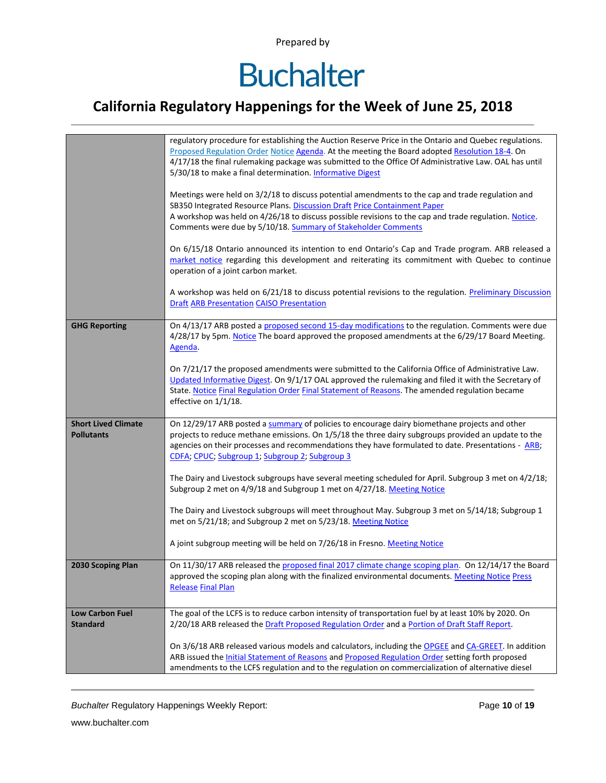# **Buchalter**

### **California Regulatory Happenings for the Week of June 25, 2018**

|                                                 | regulatory procedure for establishing the Auction Reserve Price in the Ontario and Quebec regulations.<br>Proposed Regulation Order Notice Agenda. At the meeting the Board adopted Resolution 18-4. On<br>4/17/18 the final rulemaking package was submitted to the Office Of Administrative Law. OAL has until<br>5/30/18 to make a final determination. Informative Digest<br>Meetings were held on 3/2/18 to discuss potential amendments to the cap and trade regulation and<br>SB350 Integrated Resource Plans. Discussion Draft Price Containment Paper<br>A workshop was held on 4/26/18 to discuss possible revisions to the cap and trade regulation. Notice.<br>Comments were due by 5/10/18. Summary of Stakeholder Comments<br>On 6/15/18 Ontario announced its intention to end Ontario's Cap and Trade program. ARB released a<br>market notice regarding this development and reiterating its commitment with Quebec to continue<br>operation of a joint carbon market.<br>A workshop was held on 6/21/18 to discuss potential revisions to the regulation. Preliminary Discussion<br><b>Draft ARB Presentation CAISO Presentation</b> |
|-------------------------------------------------|--------------------------------------------------------------------------------------------------------------------------------------------------------------------------------------------------------------------------------------------------------------------------------------------------------------------------------------------------------------------------------------------------------------------------------------------------------------------------------------------------------------------------------------------------------------------------------------------------------------------------------------------------------------------------------------------------------------------------------------------------------------------------------------------------------------------------------------------------------------------------------------------------------------------------------------------------------------------------------------------------------------------------------------------------------------------------------------------------------------------------------------------------------|
| <b>GHG Reporting</b>                            | On 4/13/17 ARB posted a proposed second 15-day modifications to the regulation. Comments were due<br>4/28/17 by 5pm. Notice The board approved the proposed amendments at the 6/29/17 Board Meeting.<br>Agenda.<br>On 7/21/17 the proposed amendments were submitted to the California Office of Administrative Law.<br>Updated Informative Digest. On 9/1/17 OAL approved the rulemaking and filed it with the Secretary of<br>State. Notice Final Regulation Order Final Statement of Reasons. The amended regulation became<br>effective on 1/1/18.                                                                                                                                                                                                                                                                                                                                                                                                                                                                                                                                                                                                 |
| <b>Short Lived Climate</b><br><b>Pollutants</b> | On 12/29/17 ARB posted a summary of policies to encourage dairy biomethane projects and other<br>projects to reduce methane emissions. On 1/5/18 the three dairy subgroups provided an update to the<br>agencies on their processes and recommendations they have formulated to date. Presentations - ARB;<br>CDFA; CPUC; Subgroup 1; Subgroup 2; Subgroup 3<br>The Dairy and Livestock subgroups have several meeting scheduled for April. Subgroup 3 met on 4/2/18;<br>Subgroup 2 met on 4/9/18 and Subgroup 1 met on 4/27/18. Meeting Notice<br>The Dairy and Livestock subgroups will meet throughout May. Subgroup 3 met on 5/14/18; Subgroup 1<br>met on 5/21/18; and Subgroup 2 met on 5/23/18. Meeting Notice<br>A joint subgroup meeting will be held on 7/26/18 in Fresno. Meeting Notice                                                                                                                                                                                                                                                                                                                                                    |
| 2030 Scoping Plan                               | On 11/30/17 ARB released the proposed final 2017 climate change scoping plan. On 12/14/17 the Board<br>approved the scoping plan along with the finalized environmental documents. Meeting Notice Press<br><b>Release Final Plan</b>                                                                                                                                                                                                                                                                                                                                                                                                                                                                                                                                                                                                                                                                                                                                                                                                                                                                                                                   |
| <b>Low Carbon Fuel</b><br><b>Standard</b>       | The goal of the LCFS is to reduce carbon intensity of transportation fuel by at least 10% by 2020. On<br>2/20/18 ARB released the Draft Proposed Regulation Order and a Portion of Draft Staff Report.<br>On 3/6/18 ARB released various models and calculators, including the OPGEE and CA-GREET. In addition<br>ARB issued the <b>Initial Statement of Reasons and Proposed Regulation Order setting forth proposed</b><br>amendments to the LCFS regulation and to the regulation on commercialization of alternative diesel                                                                                                                                                                                                                                                                                                                                                                                                                                                                                                                                                                                                                        |

**Buchalter Regulatory Happenings Weekly Report:** Page 10 of 19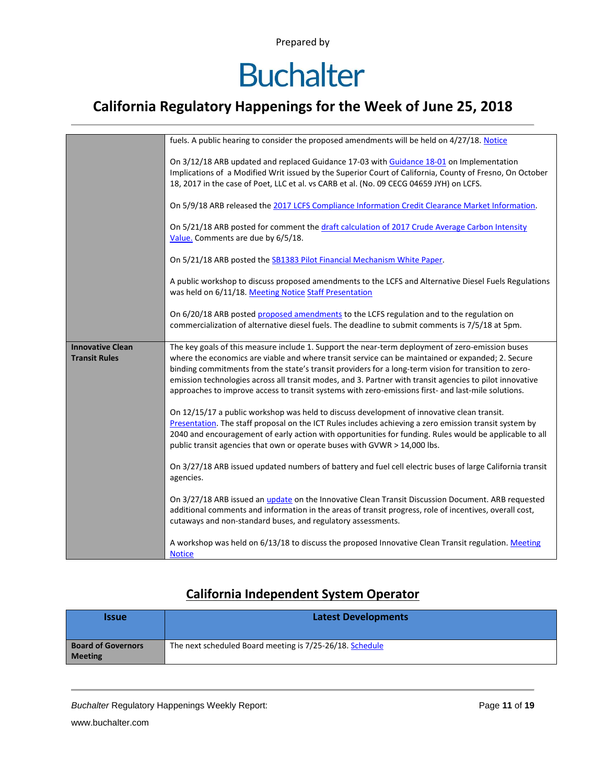# **Buchalter**

### **California Regulatory Happenings for the Week of June 25, 2018**

|                                                 | fuels. A public hearing to consider the proposed amendments will be held on 4/27/18. Notice                                                                                                                                                                                                                                                                                                                                                                                                                                       |
|-------------------------------------------------|-----------------------------------------------------------------------------------------------------------------------------------------------------------------------------------------------------------------------------------------------------------------------------------------------------------------------------------------------------------------------------------------------------------------------------------------------------------------------------------------------------------------------------------|
|                                                 | On 3/12/18 ARB updated and replaced Guidance 17-03 with Guidance 18-01 on Implementation<br>Implications of a Modified Writ issued by the Superior Court of California, County of Fresno, On October<br>18, 2017 in the case of Poet, LLC et al. vs CARB et al. (No. 09 CECG 04659 JYH) on LCFS.                                                                                                                                                                                                                                  |
|                                                 | On 5/9/18 ARB released the 2017 LCFS Compliance Information Credit Clearance Market Information.                                                                                                                                                                                                                                                                                                                                                                                                                                  |
|                                                 | On 5/21/18 ARB posted for comment the draft calculation of 2017 Crude Average Carbon Intensity<br>Value. Comments are due by 6/5/18.                                                                                                                                                                                                                                                                                                                                                                                              |
|                                                 | On 5/21/18 ARB posted the SB1383 Pilot Financial Mechanism White Paper.                                                                                                                                                                                                                                                                                                                                                                                                                                                           |
|                                                 | A public workshop to discuss proposed amendments to the LCFS and Alternative Diesel Fuels Regulations<br>was held on 6/11/18. Meeting Notice Staff Presentation                                                                                                                                                                                                                                                                                                                                                                   |
|                                                 | On 6/20/18 ARB posted proposed amendments to the LCFS regulation and to the regulation on<br>commercialization of alternative diesel fuels. The deadline to submit comments is 7/5/18 at 5pm.                                                                                                                                                                                                                                                                                                                                     |
| <b>Innovative Clean</b><br><b>Transit Rules</b> | The key goals of this measure include 1. Support the near-term deployment of zero-emission buses<br>where the economics are viable and where transit service can be maintained or expanded; 2. Secure<br>binding commitments from the state's transit providers for a long-term vision for transition to zero-<br>emission technologies across all transit modes, and 3. Partner with transit agencies to pilot innovative<br>approaches to improve access to transit systems with zero-emissions first- and last-mile solutions. |
|                                                 | On 12/15/17 a public workshop was held to discuss development of innovative clean transit.<br>Presentation. The staff proposal on the ICT Rules includes achieving a zero emission transit system by<br>2040 and encouragement of early action with opportunities for funding. Rules would be applicable to all<br>public transit agencies that own or operate buses with GVWR > 14,000 lbs.                                                                                                                                      |
|                                                 | On 3/27/18 ARB issued updated numbers of battery and fuel cell electric buses of large California transit<br>agencies.                                                                                                                                                                                                                                                                                                                                                                                                            |
|                                                 | On 3/27/18 ARB issued an <i>update</i> on the Innovative Clean Transit Discussion Document. ARB requested<br>additional comments and information in the areas of transit progress, role of incentives, overall cost,<br>cutaways and non-standard buses, and regulatory assessments.                                                                                                                                                                                                                                              |
|                                                 | A workshop was held on 6/13/18 to discuss the proposed Innovative Clean Transit regulation. Meeting                                                                                                                                                                                                                                                                                                                                                                                                                               |

#### **California Independent System Operator**

| <b>Issue</b>                                | <b>Latest Developments</b>                               |
|---------------------------------------------|----------------------------------------------------------|
| <b>Board of Governors</b><br><b>Meeting</b> | The next scheduled Board meeting is 7/25-26/18. Schedule |

**Buchalter Regulatory Happenings Weekly Report:** Page 11 of 19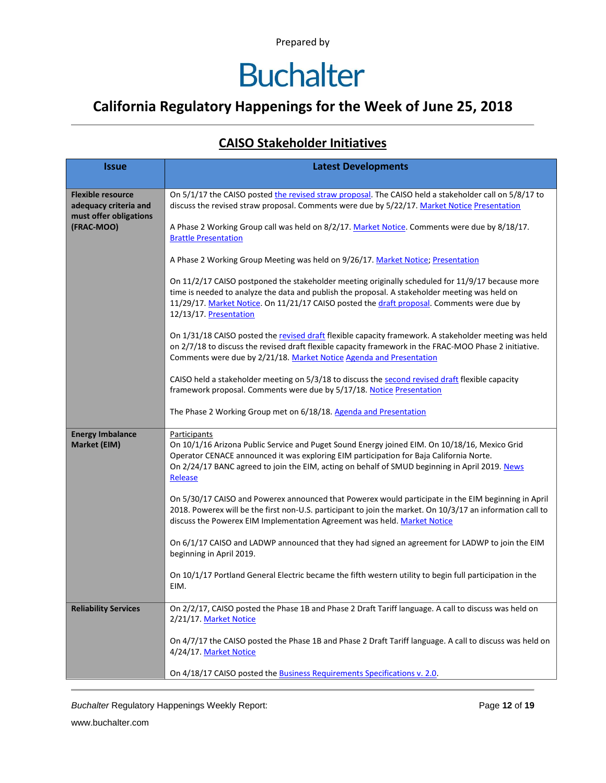### **California Regulatory Happenings for the Week of June 25, 2018**

#### **CAISO Stakeholder Initiatives**

| <b>Issue</b>                                                                | <b>Latest Developments</b>                                                                                                                                                                                                                                                                                                 |  |  |  |  |
|-----------------------------------------------------------------------------|----------------------------------------------------------------------------------------------------------------------------------------------------------------------------------------------------------------------------------------------------------------------------------------------------------------------------|--|--|--|--|
|                                                                             |                                                                                                                                                                                                                                                                                                                            |  |  |  |  |
| <b>Flexible resource</b><br>adequacy criteria and<br>must offer obligations | On 5/1/17 the CAISO posted the revised straw proposal. The CAISO held a stakeholder call on 5/8/17 to<br>discuss the revised straw proposal. Comments were due by 5/22/17. Market Notice Presentation                                                                                                                      |  |  |  |  |
| (FRAC-MOO)                                                                  | A Phase 2 Working Group call was held on 8/2/17. Market Notice. Comments were due by 8/18/17.<br><b>Brattle Presentation</b>                                                                                                                                                                                               |  |  |  |  |
|                                                                             | A Phase 2 Working Group Meeting was held on 9/26/17. Market Notice; Presentation                                                                                                                                                                                                                                           |  |  |  |  |
|                                                                             | On 11/2/17 CAISO postponed the stakeholder meeting originally scheduled for 11/9/17 because more<br>time is needed to analyze the data and publish the proposal. A stakeholder meeting was held on<br>11/29/17. Market Notice. On 11/21/17 CAISO posted the draft proposal. Comments were due by<br>12/13/17. Presentation |  |  |  |  |
|                                                                             | On 1/31/18 CAISO posted the revised draft flexible capacity framework. A stakeholder meeting was held<br>on 2/7/18 to discuss the revised draft flexible capacity framework in the FRAC-MOO Phase 2 initiative.<br>Comments were due by 2/21/18. Market Notice Agenda and Presentation                                     |  |  |  |  |
|                                                                             | CAISO held a stakeholder meeting on 5/3/18 to discuss the second revised draft flexible capacity<br>framework proposal. Comments were due by 5/17/18. Notice Presentation                                                                                                                                                  |  |  |  |  |
|                                                                             | The Phase 2 Working Group met on 6/18/18. Agenda and Presentation                                                                                                                                                                                                                                                          |  |  |  |  |
| <b>Energy Imbalance</b><br>Market (EIM)                                     | Participants<br>On 10/1/16 Arizona Public Service and Puget Sound Energy joined EIM. On 10/18/16, Mexico Grid<br>Operator CENACE announced it was exploring EIM participation for Baja California Norte.<br>On 2/24/17 BANC agreed to join the EIM, acting on behalf of SMUD beginning in April 2019. News<br>Release      |  |  |  |  |
|                                                                             | On 5/30/17 CAISO and Powerex announced that Powerex would participate in the EIM beginning in April<br>2018. Powerex will be the first non-U.S. participant to join the market. On 10/3/17 an information call to<br>discuss the Powerex EIM Implementation Agreement was held. Market Notice                              |  |  |  |  |
|                                                                             | On 6/1/17 CAISO and LADWP announced that they had signed an agreement for LADWP to join the EIM<br>beginning in April 2019.                                                                                                                                                                                                |  |  |  |  |
|                                                                             | On 10/1/17 Portland General Electric became the fifth western utility to begin full participation in the<br>EIM.                                                                                                                                                                                                           |  |  |  |  |
| <b>Reliability Services</b>                                                 | On 2/2/17, CAISO posted the Phase 1B and Phase 2 Draft Tariff language. A call to discuss was held on<br>2/21/17. Market Notice                                                                                                                                                                                            |  |  |  |  |
|                                                                             | On 4/7/17 the CAISO posted the Phase 1B and Phase 2 Draft Tariff language. A call to discuss was held on<br>4/24/17. Market Notice                                                                                                                                                                                         |  |  |  |  |
|                                                                             | On 4/18/17 CAISO posted the <b>Business Requirements Specifications v. 2.0.</b>                                                                                                                                                                                                                                            |  |  |  |  |

**Buchalter Regulatory Happenings Weekly Report:** Page 12 of 19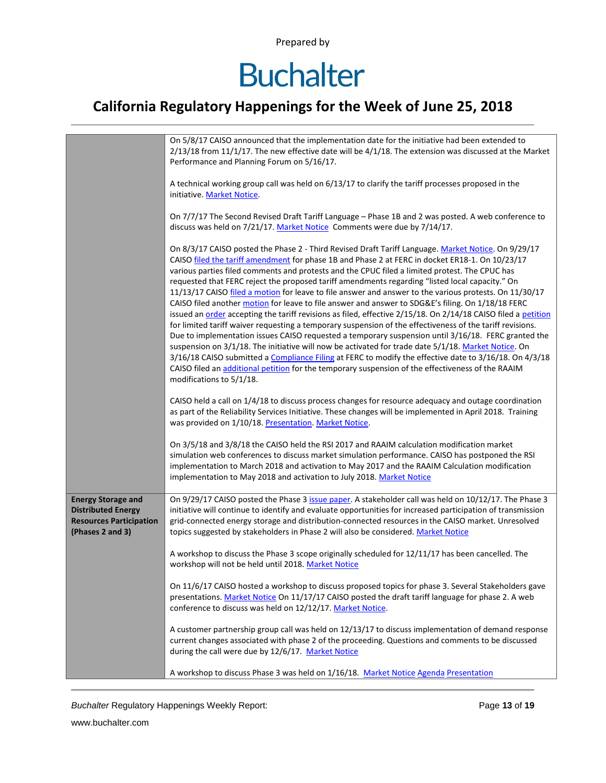## **Buchalter**

### **California Regulatory Happenings for the Week of June 25, 2018**

|                                                                                                              | On 5/8/17 CAISO announced that the implementation date for the initiative had been extended to<br>$2/13/18$ from 11/1/17. The new effective date will be $4/1/18$ . The extension was discussed at the Market<br>Performance and Planning Forum on 5/16/17.                                                                                                                                                                                                                                                                                                                                                                                                                                                                                                                                                                                                                                                                                                                                                                                                                                                                                                                                                                                                                                                       |  |  |  |  |
|--------------------------------------------------------------------------------------------------------------|-------------------------------------------------------------------------------------------------------------------------------------------------------------------------------------------------------------------------------------------------------------------------------------------------------------------------------------------------------------------------------------------------------------------------------------------------------------------------------------------------------------------------------------------------------------------------------------------------------------------------------------------------------------------------------------------------------------------------------------------------------------------------------------------------------------------------------------------------------------------------------------------------------------------------------------------------------------------------------------------------------------------------------------------------------------------------------------------------------------------------------------------------------------------------------------------------------------------------------------------------------------------------------------------------------------------|--|--|--|--|
|                                                                                                              | A technical working group call was held on 6/13/17 to clarify the tariff processes proposed in the<br>initiative. Market Notice.                                                                                                                                                                                                                                                                                                                                                                                                                                                                                                                                                                                                                                                                                                                                                                                                                                                                                                                                                                                                                                                                                                                                                                                  |  |  |  |  |
|                                                                                                              | On 7/7/17 The Second Revised Draft Tariff Language - Phase 1B and 2 was posted. A web conference to<br>discuss was held on 7/21/17. Market Notice Comments were due by 7/14/17.                                                                                                                                                                                                                                                                                                                                                                                                                                                                                                                                                                                                                                                                                                                                                                                                                                                                                                                                                                                                                                                                                                                                   |  |  |  |  |
|                                                                                                              | On 8/3/17 CAISO posted the Phase 2 - Third Revised Draft Tariff Language. Market Notice. On 9/29/17<br>CAISO filed the tariff amendment for phase 1B and Phase 2 at FERC in docket ER18-1. On 10/23/17<br>various parties filed comments and protests and the CPUC filed a limited protest. The CPUC has<br>requested that FERC reject the proposed tariff amendments regarding "listed local capacity." On<br>11/13/17 CAISO filed a motion for leave to file answer and answer to the various protests. On 11/30/17<br>CAISO filed another motion for leave to file answer and answer to SDG&E's filing. On 1/18/18 FERC<br>issued an order accepting the tariff revisions as filed, effective 2/15/18. On 2/14/18 CAISO filed a petition<br>for limited tariff waiver requesting a temporary suspension of the effectiveness of the tariff revisions.<br>Due to implementation issues CAISO requested a temporary suspension until 3/16/18. FERC granted the<br>suspension on 3/1/18. The initiative will now be activated for trade date 5/1/18. Market Notice. On<br>3/16/18 CAISO submitted a Compliance Filing at FERC to modify the effective date to 3/16/18. On 4/3/18<br>CAISO filed an additional petition for the temporary suspension of the effectiveness of the RAAIM<br>modifications to 5/1/18. |  |  |  |  |
|                                                                                                              | CAISO held a call on 1/4/18 to discuss process changes for resource adequacy and outage coordination<br>as part of the Reliability Services Initiative. These changes will be implemented in April 2018. Training<br>was provided on 1/10/18. Presentation. Market Notice.                                                                                                                                                                                                                                                                                                                                                                                                                                                                                                                                                                                                                                                                                                                                                                                                                                                                                                                                                                                                                                        |  |  |  |  |
|                                                                                                              | On 3/5/18 and 3/8/18 the CAISO held the RSI 2017 and RAAIM calculation modification market<br>simulation web conferences to discuss market simulation performance. CAISO has postponed the RSI<br>implementation to March 2018 and activation to May 2017 and the RAAIM Calculation modification<br>implementation to May 2018 and activation to July 2018. Market Notice                                                                                                                                                                                                                                                                                                                                                                                                                                                                                                                                                                                                                                                                                                                                                                                                                                                                                                                                         |  |  |  |  |
| <b>Energy Storage and</b><br><b>Distributed Energy</b><br><b>Resources Participation</b><br>(Phases 2 and 3) | On 9/29/17 CAISO posted the Phase 3 issue paper. A stakeholder call was held on 10/12/17. The Phase 3<br>initiative will continue to identify and evaluate opportunities for increased participation of transmission<br>grid-connected energy storage and distribution-connected resources in the CAISO market. Unresolved<br>topics suggested by stakeholders in Phase 2 will also be considered. Market Notice                                                                                                                                                                                                                                                                                                                                                                                                                                                                                                                                                                                                                                                                                                                                                                                                                                                                                                  |  |  |  |  |
|                                                                                                              | A workshop to discuss the Phase 3 scope originally scheduled for 12/11/17 has been cancelled. The<br>workshop will not be held until 2018. Market Notice                                                                                                                                                                                                                                                                                                                                                                                                                                                                                                                                                                                                                                                                                                                                                                                                                                                                                                                                                                                                                                                                                                                                                          |  |  |  |  |
|                                                                                                              | On 11/6/17 CAISO hosted a workshop to discuss proposed topics for phase 3. Several Stakeholders gave<br>presentations. Market Notice On 11/17/17 CAISO posted the draft tariff language for phase 2. A web<br>conference to discuss was held on 12/12/17. Market Notice.                                                                                                                                                                                                                                                                                                                                                                                                                                                                                                                                                                                                                                                                                                                                                                                                                                                                                                                                                                                                                                          |  |  |  |  |
|                                                                                                              | A customer partnership group call was held on 12/13/17 to discuss implementation of demand response<br>current changes associated with phase 2 of the proceeding. Questions and comments to be discussed<br>during the call were due by 12/6/17. Market Notice                                                                                                                                                                                                                                                                                                                                                                                                                                                                                                                                                                                                                                                                                                                                                                                                                                                                                                                                                                                                                                                    |  |  |  |  |
|                                                                                                              | A workshop to discuss Phase 3 was held on 1/16/18. Market Notice Agenda Presentation                                                                                                                                                                                                                                                                                                                                                                                                                                                                                                                                                                                                                                                                                                                                                                                                                                                                                                                                                                                                                                                                                                                                                                                                                              |  |  |  |  |

**Buchalter Regulatory Happenings Weekly Report:** Page 13 of 19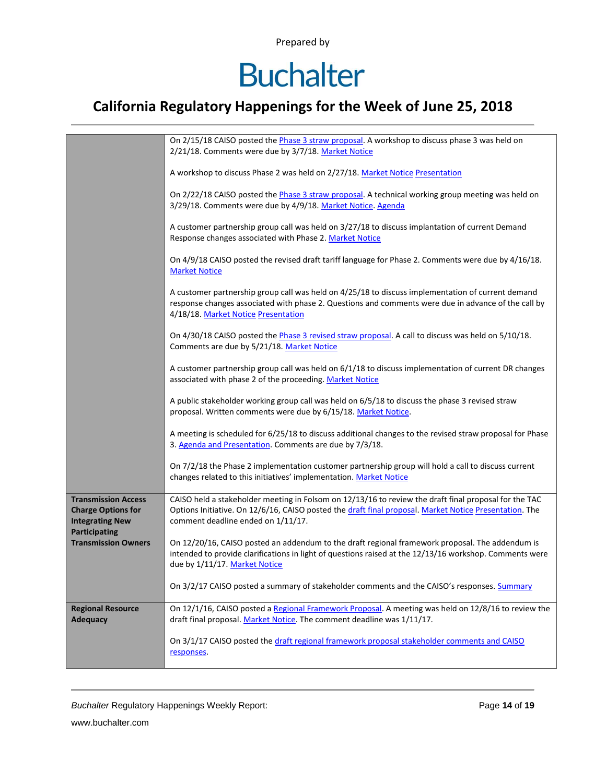## **Buchalter**

### **California Regulatory Happenings for the Week of June 25, 2018**

|                                                                                                    | On 2/15/18 CAISO posted the Phase 3 straw proposal. A workshop to discuss phase 3 was held on<br>2/21/18. Comments were due by 3/7/18. Market Notice                                                                                                  |
|----------------------------------------------------------------------------------------------------|-------------------------------------------------------------------------------------------------------------------------------------------------------------------------------------------------------------------------------------------------------|
|                                                                                                    | A workshop to discuss Phase 2 was held on 2/27/18. Market Notice Presentation                                                                                                                                                                         |
|                                                                                                    | On 2/22/18 CAISO posted the Phase 3 straw proposal. A technical working group meeting was held on<br>3/29/18. Comments were due by 4/9/18. Market Notice. Agenda                                                                                      |
|                                                                                                    | A customer partnership group call was held on 3/27/18 to discuss implantation of current Demand<br>Response changes associated with Phase 2. Market Notice                                                                                            |
|                                                                                                    | On 4/9/18 CAISO posted the revised draft tariff language for Phase 2. Comments were due by 4/16/18.<br><b>Market Notice</b>                                                                                                                           |
|                                                                                                    | A customer partnership group call was held on 4/25/18 to discuss implementation of current demand<br>response changes associated with phase 2. Questions and comments were due in advance of the call by<br>4/18/18. Market Notice Presentation       |
|                                                                                                    | On 4/30/18 CAISO posted the Phase 3 revised straw proposal. A call to discuss was held on 5/10/18.<br>Comments are due by 5/21/18. Market Notice                                                                                                      |
|                                                                                                    | A customer partnership group call was held on 6/1/18 to discuss implementation of current DR changes<br>associated with phase 2 of the proceeding. Market Notice                                                                                      |
|                                                                                                    | A public stakeholder working group call was held on 6/5/18 to discuss the phase 3 revised straw<br>proposal. Written comments were due by 6/15/18. Market Notice.                                                                                     |
|                                                                                                    | A meeting is scheduled for 6/25/18 to discuss additional changes to the revised straw proposal for Phase<br>3. Agenda and Presentation. Comments are due by 7/3/18.                                                                                   |
|                                                                                                    | On 7/2/18 the Phase 2 implementation customer partnership group will hold a call to discuss current<br>changes related to this initiatives' implementation. Market Notice                                                                             |
| <b>Transmission Access</b><br><b>Charge Options for</b><br><b>Integrating New</b><br>Participating | CAISO held a stakeholder meeting in Folsom on 12/13/16 to review the draft final proposal for the TAC<br>Options Initiative. On 12/6/16, CAISO posted the draft final proposal. Market Notice Presentation. The<br>comment deadline ended on 1/11/17. |
| <b>Transmission Owners</b>                                                                         | On 12/20/16, CAISO posted an addendum to the draft regional framework proposal. The addendum is<br>intended to provide clarifications in light of questions raised at the 12/13/16 workshop. Comments were<br>due by 1/11/17. Market Notice           |
|                                                                                                    | On 3/2/17 CAISO posted a summary of stakeholder comments and the CAISO's responses. Summary                                                                                                                                                           |
| <b>Regional Resource</b><br><b>Adequacy</b>                                                        | On 12/1/16, CAISO posted a Regional Framework Proposal. A meeting was held on 12/8/16 to review the<br>draft final proposal. Market Notice. The comment deadline was 1/11/17.                                                                         |
|                                                                                                    | On 3/1/17 CAISO posted the draft regional framework proposal stakeholder comments and CAISO<br>responses.                                                                                                                                             |

**Buchalter Regulatory Happenings Weekly Report:** Page 14 of 19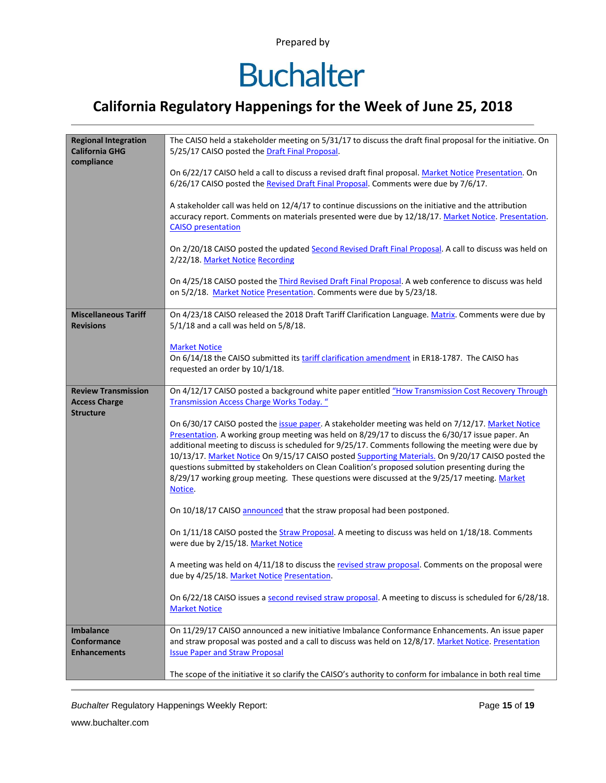## **Buchalter**

### **California Regulatory Happenings for the Week of June 25, 2018**

| <b>Regional Integration</b><br><b>California GHG</b><br>compliance | The CAISO held a stakeholder meeting on 5/31/17 to discuss the draft final proposal for the initiative. On<br>5/25/17 CAISO posted the Draft Final Proposal.                                                                                                                                                                                                                                                                                                                                                                                                                                                                    |  |  |  |  |  |
|--------------------------------------------------------------------|---------------------------------------------------------------------------------------------------------------------------------------------------------------------------------------------------------------------------------------------------------------------------------------------------------------------------------------------------------------------------------------------------------------------------------------------------------------------------------------------------------------------------------------------------------------------------------------------------------------------------------|--|--|--|--|--|
|                                                                    | On 6/22/17 CAISO held a call to discuss a revised draft final proposal. Market Notice Presentation. On<br>6/26/17 CAISO posted the Revised Draft Final Proposal. Comments were due by 7/6/17.                                                                                                                                                                                                                                                                                                                                                                                                                                   |  |  |  |  |  |
|                                                                    | A stakeholder call was held on 12/4/17 to continue discussions on the initiative and the attribution<br>accuracy report. Comments on materials presented were due by 12/18/17. Market Notice. Presentation.<br><b>CAISO</b> presentation                                                                                                                                                                                                                                                                                                                                                                                        |  |  |  |  |  |
|                                                                    | On 2/20/18 CAISO posted the updated Second Revised Draft Final Proposal. A call to discuss was held on<br>2/22/18. Market Notice Recording                                                                                                                                                                                                                                                                                                                                                                                                                                                                                      |  |  |  |  |  |
|                                                                    | On 4/25/18 CAISO posted the Third Revised Draft Final Proposal. A web conference to discuss was held<br>on 5/2/18. Market Notice Presentation. Comments were due by 5/23/18.                                                                                                                                                                                                                                                                                                                                                                                                                                                    |  |  |  |  |  |
| <b>Miscellaneous Tariff</b><br><b>Revisions</b>                    | On 4/23/18 CAISO released the 2018 Draft Tariff Clarification Language. Matrix. Comments were due by<br>$5/1/18$ and a call was held on $5/8/18$ .                                                                                                                                                                                                                                                                                                                                                                                                                                                                              |  |  |  |  |  |
|                                                                    | <b>Market Notice</b><br>On 6/14/18 the CAISO submitted its tariff clarification amendment in ER18-1787. The CAISO has<br>requested an order by 10/1/18.                                                                                                                                                                                                                                                                                                                                                                                                                                                                         |  |  |  |  |  |
| <b>Review Transmission</b><br><b>Access Charge</b>                 | On 4/12/17 CAISO posted a background white paper entitled "How Transmission Cost Recovery Through<br><b>Transmission Access Charge Works Today.</b> "                                                                                                                                                                                                                                                                                                                                                                                                                                                                           |  |  |  |  |  |
| <b>Structure</b>                                                   | On 6/30/17 CAISO posted the issue paper. A stakeholder meeting was held on 7/12/17. Market Notice<br>Presentation. A working group meeting was held on 8/29/17 to discuss the 6/30/17 issue paper. An<br>additional meeting to discuss is scheduled for 9/25/17. Comments following the meeting were due by<br>10/13/17. Market Notice On 9/15/17 CAISO posted Supporting Materials. On 9/20/17 CAISO posted the<br>questions submitted by stakeholders on Clean Coalition's proposed solution presenting during the<br>8/29/17 working group meeting. These questions were discussed at the 9/25/17 meeting. Market<br>Notice. |  |  |  |  |  |
|                                                                    | On 10/18/17 CAISO announced that the straw proposal had been postponed.                                                                                                                                                                                                                                                                                                                                                                                                                                                                                                                                                         |  |  |  |  |  |
|                                                                    | On 1/11/18 CAISO posted the Straw Proposal. A meeting to discuss was held on 1/18/18. Comments<br>were due by 2/15/18. Market Notice                                                                                                                                                                                                                                                                                                                                                                                                                                                                                            |  |  |  |  |  |
|                                                                    | A meeting was held on 4/11/18 to discuss the revised straw proposal. Comments on the proposal were<br>due by 4/25/18. Market Notice Presentation.                                                                                                                                                                                                                                                                                                                                                                                                                                                                               |  |  |  |  |  |
|                                                                    | On 6/22/18 CAISO issues a second revised straw proposal. A meeting to discuss is scheduled for 6/28/18.<br><b>Market Notice</b>                                                                                                                                                                                                                                                                                                                                                                                                                                                                                                 |  |  |  |  |  |
| <b>Imbalance</b><br><b>Conformance</b><br><b>Enhancements</b>      | On 11/29/17 CAISO announced a new initiative Imbalance Conformance Enhancements. An issue paper<br>and straw proposal was posted and a call to discuss was held on 12/8/17. Market Notice. Presentation<br><b>Issue Paper and Straw Proposal</b>                                                                                                                                                                                                                                                                                                                                                                                |  |  |  |  |  |
|                                                                    | The scope of the initiative it so clarify the CAISO's authority to conform for imbalance in both real time                                                                                                                                                                                                                                                                                                                                                                                                                                                                                                                      |  |  |  |  |  |

**Buchalter Regulatory Happenings Weekly Report:** Page 15 of 19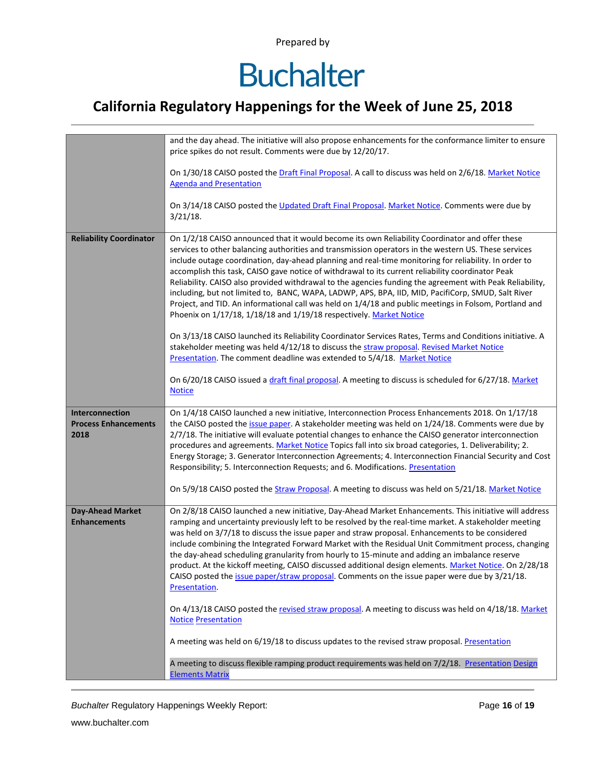## **Buchalter**

### **California Regulatory Happenings for the Week of June 25, 2018**

|                                                        | and the day ahead. The initiative will also propose enhancements for the conformance limiter to ensure<br>price spikes do not result. Comments were due by 12/20/17.                                                                                                                                                                                                                                                                                                                                                                                                                                                                                                                                                                                                                                                                                                                                                                                                                                                                                                                                         |  |  |  |  |  |
|--------------------------------------------------------|--------------------------------------------------------------------------------------------------------------------------------------------------------------------------------------------------------------------------------------------------------------------------------------------------------------------------------------------------------------------------------------------------------------------------------------------------------------------------------------------------------------------------------------------------------------------------------------------------------------------------------------------------------------------------------------------------------------------------------------------------------------------------------------------------------------------------------------------------------------------------------------------------------------------------------------------------------------------------------------------------------------------------------------------------------------------------------------------------------------|--|--|--|--|--|
|                                                        | On 1/30/18 CAISO posted the Draft Final Proposal. A call to discuss was held on 2/6/18. Market Notice<br><b>Agenda and Presentation</b>                                                                                                                                                                                                                                                                                                                                                                                                                                                                                                                                                                                                                                                                                                                                                                                                                                                                                                                                                                      |  |  |  |  |  |
|                                                        | On 3/14/18 CAISO posted the Updated Draft Final Proposal. Market Notice. Comments were due by<br>$3/21/18$ .                                                                                                                                                                                                                                                                                                                                                                                                                                                                                                                                                                                                                                                                                                                                                                                                                                                                                                                                                                                                 |  |  |  |  |  |
| <b>Reliability Coordinator</b>                         | On 1/2/18 CAISO announced that it would become its own Reliability Coordinator and offer these<br>services to other balancing authorities and transmission operators in the western US. These services<br>include outage coordination, day-ahead planning and real-time monitoring for reliability. In order to<br>accomplish this task, CAISO gave notice of withdrawal to its current reliability coordinator Peak<br>Reliability. CAISO also provided withdrawal to the agencies funding the agreement with Peak Reliability,<br>including, but not limited to, BANC, WAPA, LADWP, APS, BPA, IID, MID, PacifiCorp, SMUD, Salt River<br>Project, and TID. An informational call was held on 1/4/18 and public meetings in Folsom, Portland and<br>Phoenix on 1/17/18, 1/18/18 and 1/19/18 respectively. Market Notice<br>On 3/13/18 CAISO launched its Reliability Coordinator Services Rates, Terms and Conditions initiative. A<br>stakeholder meeting was held 4/12/18 to discuss the straw proposal. Revised Market Notice<br>Presentation. The comment deadline was extended to 5/4/18. Market Notice |  |  |  |  |  |
|                                                        | On 6/20/18 CAISO issued a draft final proposal. A meeting to discuss is scheduled for 6/27/18. Market<br><b>Notice</b>                                                                                                                                                                                                                                                                                                                                                                                                                                                                                                                                                                                                                                                                                                                                                                                                                                                                                                                                                                                       |  |  |  |  |  |
| Interconnection<br><b>Process Enhancements</b><br>2018 | On 1/4/18 CAISO launched a new initiative, Interconnection Process Enhancements 2018. On 1/17/18<br>the CAISO posted the issue paper. A stakeholder meeting was held on 1/24/18. Comments were due by<br>2/7/18. The initiative will evaluate potential changes to enhance the CAISO generator interconnection<br>procedures and agreements. Market Notice Topics fall into six broad categories, 1. Deliverability; 2.<br>Energy Storage; 3. Generator Interconnection Agreements; 4. Interconnection Financial Security and Cost<br>Responsibility; 5. Interconnection Requests; and 6. Modifications. Presentation                                                                                                                                                                                                                                                                                                                                                                                                                                                                                        |  |  |  |  |  |
|                                                        | On 5/9/18 CAISO posted the Straw Proposal. A meeting to discuss was held on 5/21/18. Market Notice                                                                                                                                                                                                                                                                                                                                                                                                                                                                                                                                                                                                                                                                                                                                                                                                                                                                                                                                                                                                           |  |  |  |  |  |
| <b>Day-Ahead Market</b><br><b>Enhancements</b>         | On 2/8/18 CAISO launched a new initiative, Day-Ahead Market Enhancements. This initiative will address<br>ramping and uncertainty previously left to be resolved by the real-time market. A stakeholder meeting<br>was held on 3/7/18 to discuss the issue paper and straw proposal. Enhancements to be considered<br>include combining the Integrated Forward Market with the Residual Unit Commitment process, changing<br>the day-ahead scheduling granularity from hourly to 15-minute and adding an imbalance reserve<br>product. At the kickoff meeting, CAISO discussed additional design elements. Market Notice. On 2/28/18<br>CAISO posted the issue paper/straw proposal. Comments on the issue paper were due by 3/21/18.<br>Presentation.                                                                                                                                                                                                                                                                                                                                                       |  |  |  |  |  |
|                                                        | On 4/13/18 CAISO posted the revised straw proposal. A meeting to discuss was held on 4/18/18. Market<br><b>Notice Presentation</b>                                                                                                                                                                                                                                                                                                                                                                                                                                                                                                                                                                                                                                                                                                                                                                                                                                                                                                                                                                           |  |  |  |  |  |
|                                                        | A meeting was held on 6/19/18 to discuss updates to the revised straw proposal. Presentation                                                                                                                                                                                                                                                                                                                                                                                                                                                                                                                                                                                                                                                                                                                                                                                                                                                                                                                                                                                                                 |  |  |  |  |  |
|                                                        | A meeting to discuss flexible ramping product requirements was held on 7/2/18. Presentation Design<br><b>Elements Matrix</b>                                                                                                                                                                                                                                                                                                                                                                                                                                                                                                                                                                                                                                                                                                                                                                                                                                                                                                                                                                                 |  |  |  |  |  |

**Buchalter Regulatory Happenings Weekly Report:** Page 16 of 19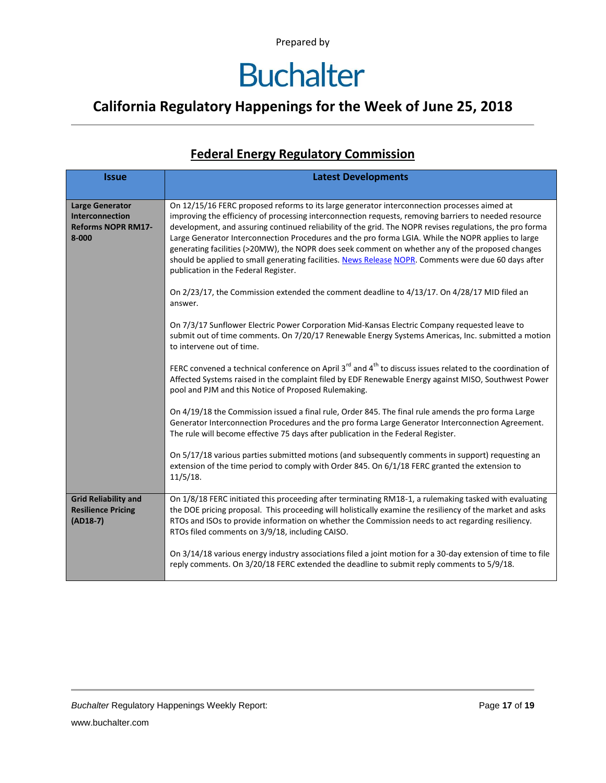### **California Regulatory Happenings for the Week of June 25, 2018**

#### **Federal Energy Regulatory Commission**

| <b>Issue</b>                                                                        | <b>Latest Developments</b>                                                                                                                                                                                                                                                                                                                                                                                                                                                                                                                                                                                                                                                 |  |  |  |
|-------------------------------------------------------------------------------------|----------------------------------------------------------------------------------------------------------------------------------------------------------------------------------------------------------------------------------------------------------------------------------------------------------------------------------------------------------------------------------------------------------------------------------------------------------------------------------------------------------------------------------------------------------------------------------------------------------------------------------------------------------------------------|--|--|--|
| <b>Large Generator</b><br>Interconnection<br><b>Reforms NOPR RM17-</b><br>$8 - 000$ | On 12/15/16 FERC proposed reforms to its large generator interconnection processes aimed at<br>improving the efficiency of processing interconnection requests, removing barriers to needed resource<br>development, and assuring continued reliability of the grid. The NOPR revises regulations, the pro forma<br>Large Generator Interconnection Procedures and the pro forma LGIA. While the NOPR applies to large<br>generating facilities (>20MW), the NOPR does seek comment on whether any of the proposed changes<br>should be applied to small generating facilities. News Release NOPR. Comments were due 60 days after<br>publication in the Federal Register. |  |  |  |
|                                                                                     | On 2/23/17, the Commission extended the comment deadline to 4/13/17. On 4/28/17 MID filed an<br>answer.                                                                                                                                                                                                                                                                                                                                                                                                                                                                                                                                                                    |  |  |  |
|                                                                                     | On 7/3/17 Sunflower Electric Power Corporation Mid-Kansas Electric Company requested leave to<br>submit out of time comments. On 7/20/17 Renewable Energy Systems Americas, Inc. submitted a motion<br>to intervene out of time.                                                                                                                                                                                                                                                                                                                                                                                                                                           |  |  |  |
|                                                                                     | FERC convened a technical conference on April 3 <sup>rd</sup> and 4 <sup>th</sup> to discuss issues related to the coordination of<br>Affected Systems raised in the complaint filed by EDF Renewable Energy against MISO, Southwest Power<br>pool and PJM and this Notice of Proposed Rulemaking.                                                                                                                                                                                                                                                                                                                                                                         |  |  |  |
|                                                                                     | On 4/19/18 the Commission issued a final rule, Order 845. The final rule amends the pro forma Large<br>Generator Interconnection Procedures and the pro forma Large Generator Interconnection Agreement.<br>The rule will become effective 75 days after publication in the Federal Register.                                                                                                                                                                                                                                                                                                                                                                              |  |  |  |
|                                                                                     | On 5/17/18 various parties submitted motions (and subsequently comments in support) requesting an<br>extension of the time period to comply with Order 845. On 6/1/18 FERC granted the extension to<br>11/5/18.                                                                                                                                                                                                                                                                                                                                                                                                                                                            |  |  |  |
| <b>Grid Reliability and</b><br><b>Resilience Pricing</b><br>$(AD18-7)$              | On 1/8/18 FERC initiated this proceeding after terminating RM18-1, a rulemaking tasked with evaluating<br>the DOE pricing proposal. This proceeding will holistically examine the resiliency of the market and asks<br>RTOs and ISOs to provide information on whether the Commission needs to act regarding resiliency.<br>RTOs filed comments on 3/9/18, including CAISO.                                                                                                                                                                                                                                                                                                |  |  |  |
|                                                                                     | On 3/14/18 various energy industry associations filed a joint motion for a 30-day extension of time to file<br>reply comments. On 3/20/18 FERC extended the deadline to submit reply comments to 5/9/18.                                                                                                                                                                                                                                                                                                                                                                                                                                                                   |  |  |  |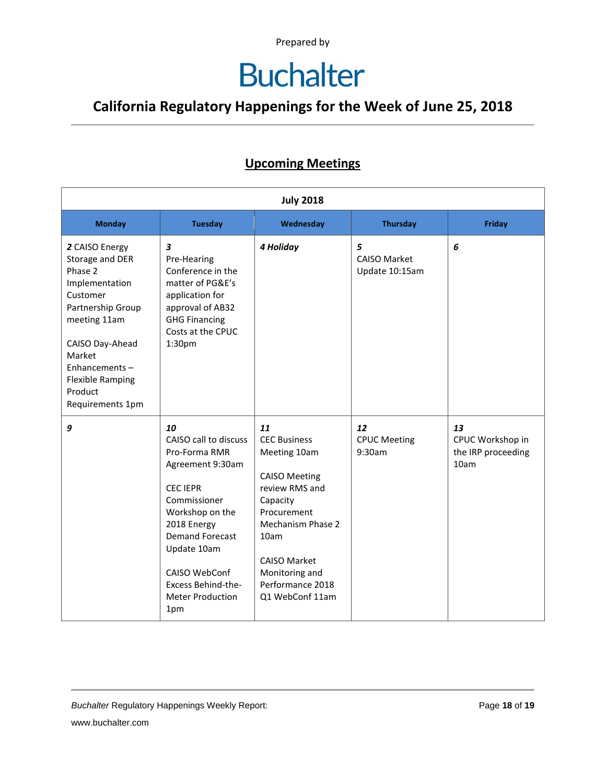## **Buchalter**

### **California Regulatory Happenings for the Week of June 25, 2018**

#### **Upcoming Meetings**

| <b>July 2018</b>                                                                                                                                                                                                        |                                                                                                                                                                                                                                                                |                                                                                                                                                                                                                             |                                            |                                                      |  |
|-------------------------------------------------------------------------------------------------------------------------------------------------------------------------------------------------------------------------|----------------------------------------------------------------------------------------------------------------------------------------------------------------------------------------------------------------------------------------------------------------|-----------------------------------------------------------------------------------------------------------------------------------------------------------------------------------------------------------------------------|--------------------------------------------|------------------------------------------------------|--|
| <b>Monday</b>                                                                                                                                                                                                           | <b>Tuesday</b>                                                                                                                                                                                                                                                 | Wednesday                                                                                                                                                                                                                   | <b>Thursday</b>                            | <b>Friday</b>                                        |  |
| 2 CAISO Energy<br>Storage and DER<br>Phase 2<br>Implementation<br>Customer<br>Partnership Group<br>meeting 11am<br>CAISO Day-Ahead<br>Market<br>Enhancements-<br><b>Flexible Ramping</b><br>Product<br>Requirements 1pm | $\boldsymbol{3}$<br>Pre-Hearing<br>Conference in the<br>matter of PG&E's<br>application for<br>approval of AB32<br><b>GHG Financing</b><br>Costs at the CPUC<br>1:30 <sub>pm</sub>                                                                             | 4 Holiday                                                                                                                                                                                                                   | 5<br><b>CAISO Market</b><br>Update 10:15am | 6                                                    |  |
| 9                                                                                                                                                                                                                       | 10<br>CAISO call to discuss<br>Pro-Forma RMR<br>Agreement 9:30am<br><b>CEC IEPR</b><br>Commissioner<br>Workshop on the<br>2018 Energy<br><b>Demand Forecast</b><br>Update 10am<br>CAISO WebConf<br><b>Excess Behind-the-</b><br><b>Meter Production</b><br>1pm | 11<br><b>CEC Business</b><br>Meeting 10am<br><b>CAISO Meeting</b><br>review RMS and<br>Capacity<br>Procurement<br>Mechanism Phase 2<br>10am<br><b>CAISO Market</b><br>Monitoring and<br>Performance 2018<br>Q1 WebConf 11am | 12<br><b>CPUC Meeting</b><br>9:30am        | 13<br>CPUC Workshop in<br>the IRP proceeding<br>10am |  |